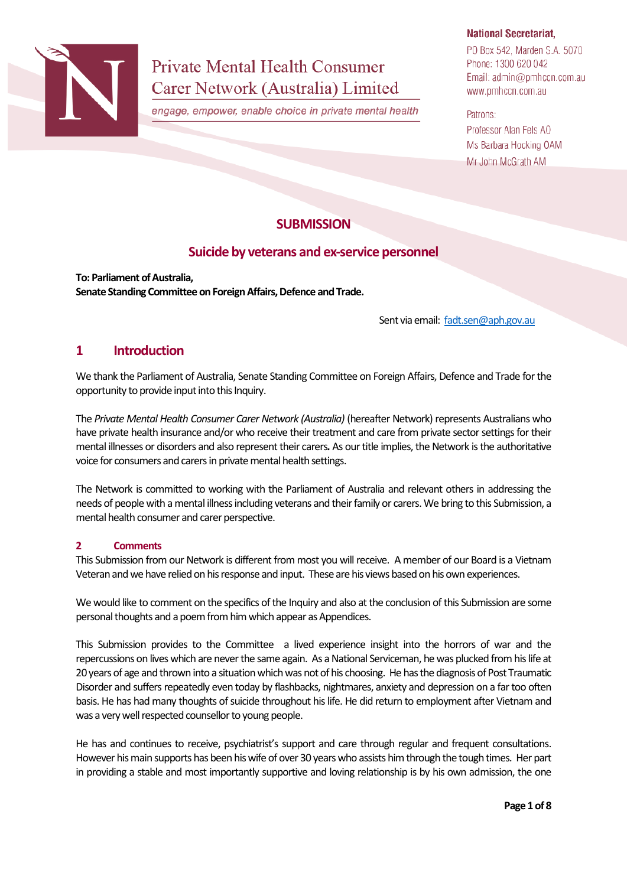

# **Private Mental Health Consumer** Carer Network (Australia) Limited

engage, empower, enable choice in private mental health

## **National Secretariat,**

PO Box 542, Marden S.A. 5070 Phone: 1300 620 042 Email: admin@pmhccn.com.au www.pmhccn.com.au

Patrons:

Professor Alan Fels AO Ms Barbara Hocking OAM Mr John McGrath AM

## **SUBMISSION**

## **Suicide by veterans and ex-service personnel**

**To: Parliament of Australia, Senate Standing Committee on Foreign Affairs, Defence and Trade.**

Sent via email: [fadt.sen@aph.gov.au](mailto:fadt.sen@aph.gov.au)

## **1 Introduction**

We thank the Parliament of Australia, Senate Standing Committee on Foreign Affairs, Defence and Trade for the opportunity to provide input into this Inquiry.

The *Private Mental Health Consumer Carer Network (Australia)* (hereafter Network) represents Australians who have private health insurance and/or who receive their treatment and care from private sector settings for their mental illnesses or disorders and also representtheir carers*.* As our title implies, the Network is the authoritative voice for consumers and carers in private mental health settings.

The Network is committed to working with the Parliament of Australia and relevant others in addressing the needs of people with a mental illness including veterans and their family or carers. We bring to this Submission, a mental health consumer and carer perspective.

## **2 Comments**

This Submission from our Network is different from most you will receive. A member of our Board is a Vietnam Veteran and we have relied on his response and input. These are his views based on his own experiences.

We would like to comment on the specifics of the Inquiry and also at the conclusion of this Submission are some personal thoughts and a poem from him which appear as Appendices.

This Submission provides to the Committee a lived experience insight into the horrors of war and the repercussions on lives which are never the same again. As a National Serviceman, he was plucked from his life at 20 years of age and thrown into a situation which was not of his choosing. He has the diagnosis of Post Traumatic Disorder and suffers repeatedly even today by flashbacks, nightmares, anxiety and depression on a far too often basis. He has had many thoughts of suicide throughout his life. He did return to employment after Vietnam and was a very well respected counsellor to young people.

He has and continues to receive, psychiatrist's support and care through regular and frequent consultations. However his main supports has been his wife of over 30 years who assists him through the tough times. Her part in providing a stable and most importantly supportive and loving relationship is by his own admission, the one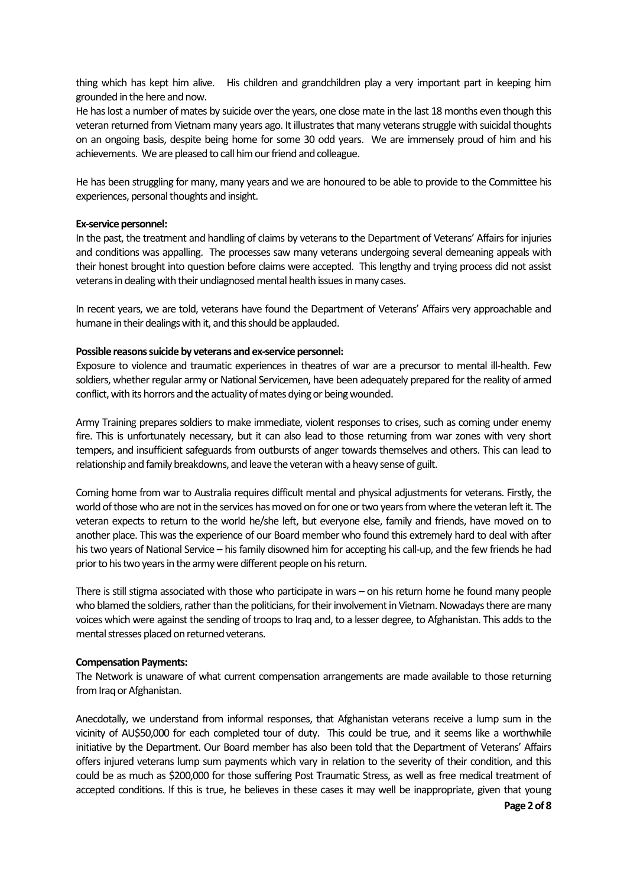thing which has kept him alive. His children and grandchildren play a very important part in keeping him grounded in the here and now.

He has lost a number of mates by suicide over the years, one close mate in the last 18 months even though this veteran returned from Vietnam many years ago. It illustrates that many veterans struggle with suicidal thoughts on an ongoing basis, despite being home for some 30 odd years. We are immensely proud of him and his achievements. We are pleased to call him our friend and colleague.

He has been struggling for many, many years and we are honoured to be able to provide to the Committee his experiences, personal thoughts and insight.

#### **Ex-service personnel:**

In the past, the treatment and handling of claims by veterans to the Department of Veterans' Affairs for injuries and conditions was appalling. The processes saw many veterans undergoing several demeaning appeals with their honest brought into question before claims were accepted. This lengthy and trying process did not assist veterans in dealing with their undiagnosed mental health issues in many cases.

In recent years, we are told, veterans have found the Department of Veterans' Affairs very approachable and humane in their dealings with it, and this should be applauded.

#### **Possible reasons suicide by veterans and ex-service personnel:**

Exposure to violence and traumatic experiences in theatres of war are a precursor to mental ill-health. Few soldiers, whether regular army or National Servicemen, have been adequately prepared for the reality of armed conflict, with its horrors and the actuality of mates dying or being wounded.

Army Training prepares soldiers to make immediate, violent responses to crises, such as coming under enemy fire. This is unfortunately necessary, but it can also lead to those returning from war zones with very short tempers, and insufficient safeguards from outbursts of anger towards themselves and others. This can lead to relationship and family breakdowns, and leave the veteran with a heavy sense of guilt.

Coming home from war to Australia requires difficult mental and physical adjustments for veterans. Firstly, the world of those who are not in the services has moved on for one or two years from where the veteran left it. The veteran expects to return to the world he/she left, but everyone else, family and friends, have moved on to another place. This was the experience of our Board member who found this extremely hard to deal with after his two years of National Service – his family disowned him for accepting his call-up, and the few friends he had prior to his two years in the army were different people on his return.

There is still stigma associated with those who participate in wars – on his return home he found many people who blamed the soldiers, rather than the politicians, for their involvement in Vietnam. Nowadays there are many voices which were against the sending of troops to Iraq and, to a lesser degree, to Afghanistan. This adds to the mental stresses placed on returned veterans.

#### **Compensation Payments:**

The Network is unaware of what current compensation arrangements are made available to those returning from Iraq or Afghanistan.

Anecdotally, we understand from informal responses, that Afghanistan veterans receive a lump sum in the vicinity of AU\$50,000 for each completed tour of duty. This could be true, and it seems like a worthwhile initiative by the Department. Our Board member has also been told that the Department of Veterans' Affairs offers injured veterans lump sum payments which vary in relation to the severity of their condition, and this could be as much as \$200,000 for those suffering Post Traumatic Stress, as well as free medical treatment of accepted conditions. If this is true, he believes in these cases it may well be inappropriate, given that young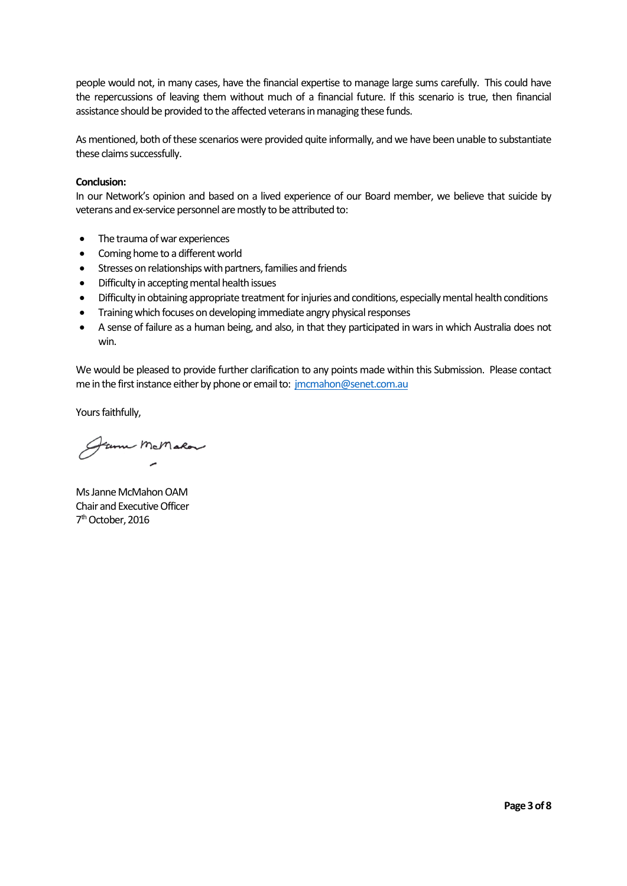people would not, in many cases, have the financial expertise to manage large sums carefully. This could have the repercussions of leaving them without much of a financial future. If this scenario is true, then financial assistance should be provided to the affected veterans in managing these funds.

As mentioned, both of these scenarios were provided quite informally, and we have been unable to substantiate these claims successfully.

#### **Conclusion:**

In our Network's opinion and based on a lived experience of our Board member, we believe that suicide by veterans and ex-service personnel are mostly to be attributed to:

- The trauma of war experiences
- Coming home to a different world
- Stresses on relationships with partners, families and friends
- Difficulty in accepting mental health issues
- Difficulty inobtaining appropriate treatment for injuries and conditions, especially mental health conditions
- Training which focuses on developing immediate angry physical responses
- A sense of failure as a human being, and also, in that they participated in wars in which Australia does not win.

We would be pleased to provide further clarification to any points made within this Submission. Please contact me in the first instance either by phone or email to: [jmcmahon@senet.com.au](mailto:jmcmahon@senet.com.au)

Yours faithfully,

Fame McMalor

Ms Janne McMahon OAM Chair and Executive Officer 7<sup>th</sup> October, 2016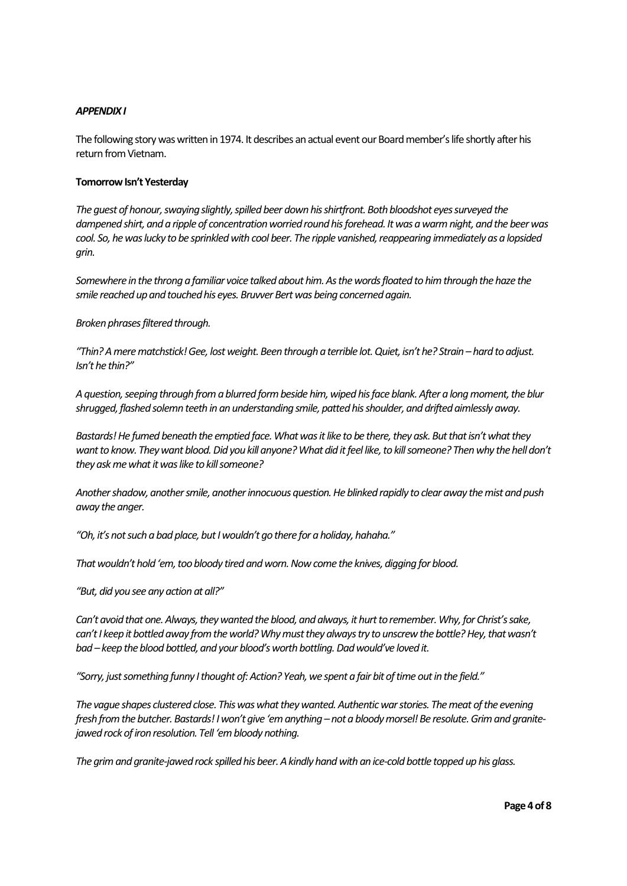#### *APPENDIX I*

The following story was written in 1974. It describes an actual event our Board member'slife shortly after his return from Vietnam.

#### **Tomorrow Isn't Yesterday**

*The guest of honour, swaying slightly, spilled beer down his shirtfront. Both bloodshot eyes surveyed the dampened shirt, and a ripple of concentration worried round his forehead. It was a warm night, and the beer was cool. So, he was lucky to be sprinkled with cool beer. The ripple vanished, reappearing immediately as a lopsided grin.*

*Somewhere in the throng a familiar voice talked about him. As the words floated to him through the haze the smile reached up and touched his eyes. Bruvver Bert was being concerned again.*

*Broken phrases filtered through.*

*"Thin? A mere matchstick! Gee, lost weight. Been through a terrible lot. Quiet, isn't he? Strain – hard to adjust. Isn't he thin?"*

*A question, seeping through from a blurred form beside him, wiped his face blank. After a long moment, the blur shrugged, flashed solemn teeth in an understanding smile, patted his shoulder, and drifted aimlessly away.*

*Bastards! He fumed beneath the emptied face. What was it like to be there, they ask. But that isn't what they want to know. They want blood. Did you kill anyone? What did it feel like, to kill someone? Then why the hell don't they ask me what it was like to kill someone?*

*Another shadow, another smile, another innocuous question. He blinked rapidly to clear away the mist and push away the anger.*

*"Oh, it's not such a bad place, but I wouldn't go there for a holiday, hahaha."*

*That wouldn't hold 'em, too bloody tired and worn. Now come the knives, digging for blood.*

*"But, did you see any action at all?"*

*Can't avoid that one. Always, they wanted the blood, and always, it hurt to remember. Why, for Christ's sake,*  can't I keep it bottled away from the world? Why must they always try to unscrew the bottle? Hey, that wasn't *bad – keep the blood bottled, and your blood's worth bottling. Dad would've loved it.*

*"Sorry, just something funny I thought of: Action? Yeah, we spent a fair bit of time out in the field."*

*The vague shapes clustered close. This was what they wanted. Authentic war stories. The meat of the evening fresh from the butcher. Bastards! I won't give 'em anything – not a bloody morsel! Be resolute. Grim and granitejawed rock of iron resolution. Tell 'em bloody nothing.*

*The grim and granite-jawed rock spilled his beer. A kindly hand with an ice-cold bottle topped up his glass.*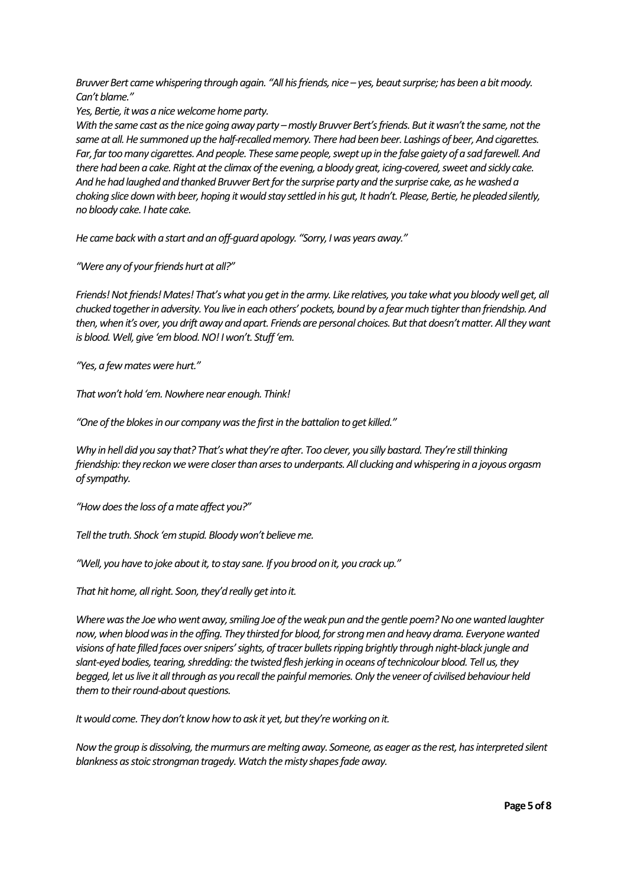*Bruvver Bert came whispering through again. "All his friends, nice – yes, beaut surprise; has been a bit moody. Can't blame."*

*Yes, Bertie, it was a nice welcome home party.* 

*With the same cast as the nice going away party –mostly Bruvver Bert's friends. But it wasn't the same, not the same at all.He summoned up the half-recalled memory. There had been beer. Lashings of beer, And cigarettes. Far, far too many cigarettes. And people. These same people, swept up in the false gaiety of a sad farewell. And there had been a cake. Right at the climax of the evening, a bloody great, icing-covered, sweet and sickly cake. And he had laughed and thanked Bruvver Bert for the surprise party and the surprise cake, as he washed a choking slice down with beer, hoping it would stay settled in his gut, It hadn't. Please, Bertie, he pleaded silently, no bloody cake. I hate cake.*

*He came back with a start and an off-guard apology. "Sorry, I was years away."*

*"Were any of your friends hurt at all?"*

*Friends! Not friends! Mates! That's what you get in the army. Like relatives, you take what you bloody well get, all chucked together in adversity. You live in each others' pockets, bound by a fear much tighter than friendship. And then, when it's over, you drift away and apart. Friends are personal choices. But that doesn'tmatter. All they want is blood. Well, give 'em blood. NO! I won't. Stuff 'em.*

*"Yes, a few mates were hurt."*

*That won't hold 'em. Nowhere near enough. Think!*

*"One of the blokes in our company was the first in the battalion to get killed."*

*Why in hell did you say that? That's what they're after. Too clever, you silly bastard. They're still thinking friendship: they reckon we were closer than arses to underpants. All clucking and whispering in a joyous orgasm of sympathy.*

*"How does the loss of a mate affect you?"*

*Tell the truth. Shock 'em stupid. Bloody won't believe me.*

*"Well, you have to joke about it, to stay sane. If you brood on it, you crack up."*

*That hit home, all right. Soon, they'd really get into it.*

*Where was the Joe who went away, smiling Joe of the weak pun and the gentle poem? No one wanted laughter now, when blood was in the offing. They thirsted for blood, for strong men and heavy drama. Everyone wanted visions of hate filled faces over snipers' sights, of tracer bullets ripping brightly through night-black jungle and slant-eyed bodies, tearing, shredding: the twisted flesh jerking in oceans of technicolour blood. Tell us, they begged, let us live it all through as you recall the painful memories. Only the veneer of civilised behaviour held them to their round-about questions.*

*It would come. They don't know how to ask it yet, but they're working on it.*

*Now the group is dissolving, the murmurs are melting away. Someone, as eager as the rest, has interpreted silent blankness as stoic strongman tragedy. Watch the misty shapes fade away.*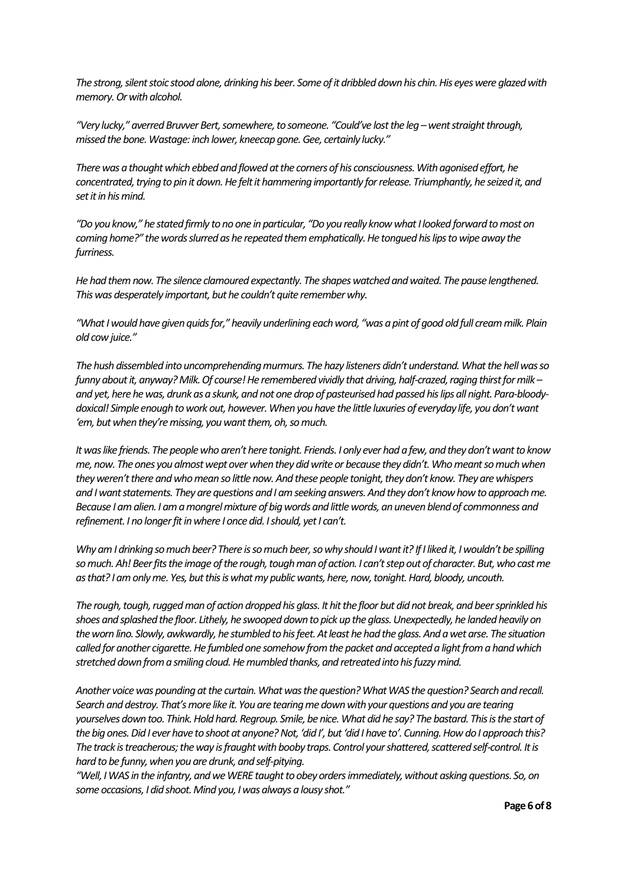*The strong, silent stoic stood alone, drinking his beer. Some of it dribbled down his chin. His eyes were glazed with memory. Or with alcohol.*

*"Very lucky," averred Bruvver Bert, somewhere, to someone. "Could've lost the leg –went straight through, missed the bone. Wastage: inch lower, kneecap gone. Gee, certainly lucky."*

*There was a thought which ebbed and flowed at the corners of his consciousness. With agonised effort, he concentrated, trying to pin it down. He felt it hammering importantly for release. Triumphantly, he seized it, and set it in his mind.*

*"Do you know," he stated firmly to no one in particular, "Do you really know what I looked forward to most on coming home?" the words slurred as he repeated them emphatically. He tongued his lips to wipe away the furriness.* 

*He had them now. The silence clamoured expectantly. The shapes watched and waited. The pause lengthened. This was desperately important, but he couldn't quite remember why.*

*"What I would have given quids for," heavily underlining each word, "was a pint of good old full cream milk. Plain old cow juice."*

*The hush dissembled into uncomprehending murmurs. The hazy listeners didn't understand. What the hell was so funny about it, anyway? Milk. Of course! He remembered vividly that driving, half-crazed, raging thirst for milk – and yet, here he was, drunk as a skunk, and not one drop of pasteurised had passed his lips all night. Para-bloodydoxical! Simple enough to work out, however. When you have the little luxuries of everyday life, you don't want 'em, but when they're missing, you want them, oh, so much.*

*It was like friends. The people who aren't here tonight. Friends. I only ever had a few, and they don't want to know me, now. The ones you almost wept over when they did write or because they didn't. Who meant so much when they weren't there and who mean so little now. And these people tonight, they don't know. They are whispers and I want statements. They are questions and I am seeking answers. And they don't know how to approach me. Because I am alien. I am a mongrel mixture of big words and little words, an uneven blend of commonness and refinement. I no longer fit in where I once did. I should, yet I can't.*

*Why am I drinking so much beer? There is so much beer, so why should I want it? If I liked it, I wouldn't be spilling so much. Ah! Beer fits the image of the rough, tough man of action. I can't step out of character. But, who cast me as that? I am only me. Yes, but this is what my public wants, here, now, tonight. Hard, bloody, uncouth.*

*The rough, tough, rugged man of action dropped his glass. It hit the floor but did not break, and beer sprinkled his shoes and splashed the floor. Lithely, he swooped down to pick up the glass. Unexpectedly, he landed heavily on the worn lino. Slowly, awkwardly, he stumbled to his feet. At least he had the glass. And a wet arse. The situation called for another cigarette. He fumbled one somehow from the packet and accepted a light from a hand which stretched down from a smiling cloud. He mumbled thanks, and retreated into his fuzzy mind.*

*Another voice was pounding at the curtain. What was the question? What WAS the question? Search and recall. Search and destroy. That's more like it. You are tearing me down with your questions and you are tearing yourselves down too. Think. Hold hard. Regroup. Smile, be nice. What did he say? The bastard. This is the start of the big ones. Did I ever have to shoot at anyone? Not, 'did I', but 'did I have to'. Cunning. How do I approach this? The track is treacherous; the way is fraught with booby traps. Control your shattered, scattered self-control. It is hard to be funny, when you are drunk, and self-pitying.*

*"Well, I WAS in the infantry, and we WERE taught to obey orders immediately, without asking questions. So, on some occasions, I did shoot. Mind you, I was always a lousy shot."*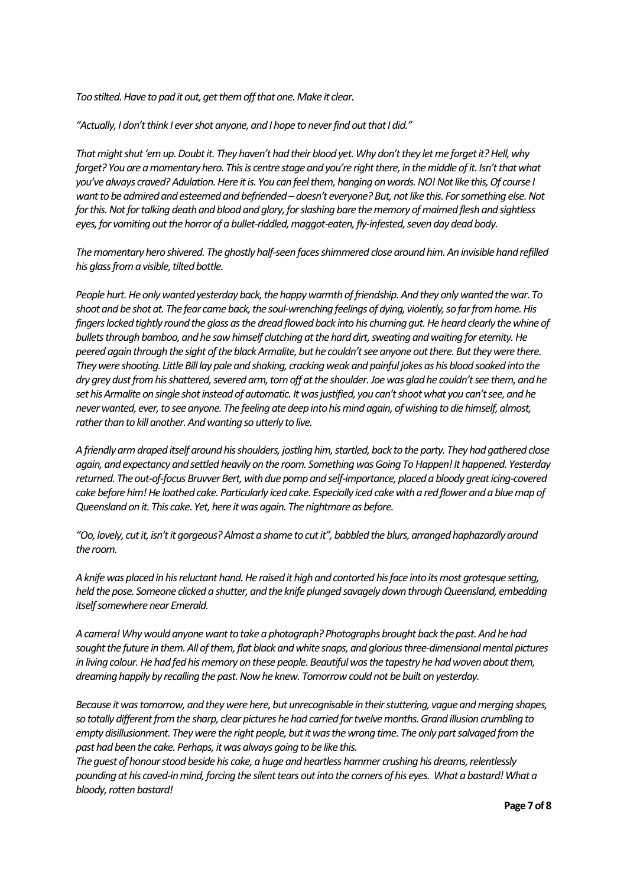*Too stilted. Have to pad it out, get them off that one. Make it clear.*

*"Actually, I don't think I ever shot anyone, and I hope to never find out that I did."*

*That might shut 'em up. Doubt it. They haven't had their blood yet. Why don't they let me forget it? Hell, why forget? You are a momentary hero. This is centre stage and you're right there, in the middle of it. Isn't that what you've always craved? Adulation. Here it is. You can feel them, hanging on words. NO! Not like this, Of course I want to be admired and esteemed and befriended – doesn't everyone? But, not like this. For something else. Not for this. Not for talking death and blood and glory, for slashing bare the memory of maimed flesh and sightless eyes, for vomiting out the horror of a bullet-riddled, maggot-eaten, fly-infested, seven day dead body.* 

*The momentary hero shivered. The ghostly half-seen faces shimmered close around him. An invisible hand refilled his glass from a visible, tilted bottle.*

*People hurt. He only wanted yesterday back, the happy warmth of friendship. And they only wanted the war. To shoot and be shot at. The fear came back, the soul-wrenching feelings of dying, violently, so far from home. His*  fingers locked tightly round the glass as the dread flowed back into his churning gut. He heard clearly the whine of *bullets through bamboo, and he saw himself clutching at the hard dirt, sweating and waiting for eternity. He peered again through the sight of the black Armalite, but he couldn't see anyone out there. But they were there. They were shooting. Little Bill lay pale and shaking, cracking weak and painful jokes as his blood soaked into the dry grey dust from his shattered, severed arm, torn off at the shoulder. Joe was glad he couldn't see them, and he set his Armalite on single shot instead of automatic. It was justified, you can't shoot what you can't see, and he never wanted, ever, to see anyone. The feeling ate deep into his mind again, of wishing to die himself, almost, rather than to kill another. And wanting so utterly to live.*

*A friendly arm draped itself around his shoulders, jostling him, startled, back to the party. They had gathered close again, and expectancy and settled heavily on the room. Something was Going To Happen! It happened. Yesterday returned. The out-of-focus Bruvver Bert, with due pomp and self-importance, placed a bloody great icing-covered cake before him! He loathed cake. Particularly iced cake. Especially iced cake with a red flower and a blue map of Queensland on it. This cake. Yet, here it was again. The nightmare as before.* 

*"Oo, lovely, cut it, isn't it gorgeous? Almost a shame to cut it", babbled the blurs, arranged haphazardly around the room.* 

*A knife was placed in his reluctant hand. He raised it high and contorted his face into its most grotesque setting, held the pose. Someone clicked a shutter, and the knife plunged savagely down through Queensland, embedding itself somewhere near Emerald.*

*A camera! Why would anyone want to take a photograph? Photographs brought back the past. And he had sought the future in them. All of them, flat black and white snaps, and glorious three-dimensional mental pictures in living colour. He had fed his memory on these people. Beautiful was the tapestry he had woven about them, dreaming happily by recalling the past. Now he knew. Tomorrow could not be built on yesterday.*

*Because it was tomorrow, and they were here, but unrecognisable in their stuttering, vague and merging shapes, so totally different from the sharp, clear pictures he had carried for twelve months. Grand illusion crumbling to empty disillusionment. They were the right people, but it was the wrong time. The only part salvaged from the past had been the cake. Perhaps, it was always going to be like this.* 

*The guest of honour stood beside his cake, a huge and heartless hammer crushing his dreams, relentlessly pounding at his caved-in mind, forcing the silent tears out into the corners of his eyes. What a bastard! What a bloody, rotten bastard!*